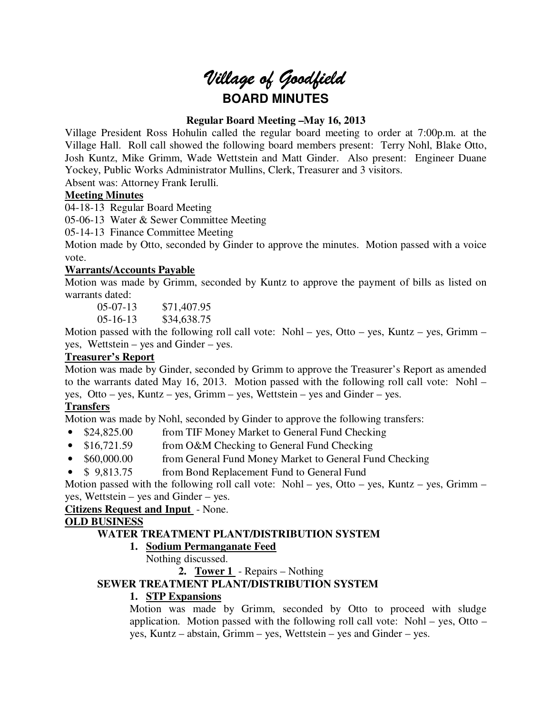# *Village of Goodfield* **BOARD MINUTES**

## **Regular Board Meeting –May 16, 2013**

Village President Ross Hohulin called the regular board meeting to order at 7:00p.m. at the Village Hall. Roll call showed the following board members present: Terry Nohl, Blake Otto, Josh Kuntz, Mike Grimm, Wade Wettstein and Matt Ginder. Also present: Engineer Duane Yockey, Public Works Administrator Mullins, Clerk, Treasurer and 3 visitors.

Absent was: Attorney Frank Ierulli.

## **Meeting Minutes**

04-18-13 Regular Board Meeting

05-06-13 Water & Sewer Committee Meeting

05-14-13 Finance Committee Meeting

Motion made by Otto, seconded by Ginder to approve the minutes. Motion passed with a voice vote.

## **Warrants/Accounts Payable**

Motion was made by Grimm, seconded by Kuntz to approve the payment of bills as listed on warrants dated:

 05-07-13 \$71,407.95 05-16-13 \$34,638.75

Motion passed with the following roll call vote: Nohl – yes, Otto – yes, Kuntz – yes, Grimm – yes, Wettstein – yes and Ginder – yes.

# **Treasurer's Report**

Motion was made by Ginder, seconded by Grimm to approve the Treasurer's Report as amended to the warrants dated May 16, 2013. Motion passed with the following roll call vote: Nohl – yes, Otto – yes, Kuntz – yes, Grimm – yes, Wettstein – yes and Ginder – yes.

# **Transfers**

Motion was made by Nohl, seconded by Ginder to approve the following transfers:

- \$24,825.00 from TIF Money Market to General Fund Checking
- \$16,721.59 from O&M Checking to General Fund Checking
- \$60,000.00 from General Fund Money Market to General Fund Checking
- \$9,813.75 from Bond Replacement Fund to General Fund

Motion passed with the following roll call vote: Nohl – yes, Otto – yes, Kuntz – yes, Grimm – yes, Wettstein – yes and Ginder – yes.

**Citizens Request and Input** - None.

## **OLD BUSINESS**

# **WATER TREATMENT PLANT/DISTRIBUTION SYSTEM**

## **1. Sodium Permanganate Feed**

Nothing discussed.

**2. Tower 1** - Repairs – Nothing

# **SEWER TREATMENT PLANT/DISTRIBUTION SYSTEM**

# **1. STP Expansions**

Motion was made by Grimm, seconded by Otto to proceed with sludge application. Motion passed with the following roll call vote: Nohl – yes, Otto – yes, Kuntz – abstain, Grimm – yes, Wettstein – yes and Ginder – yes.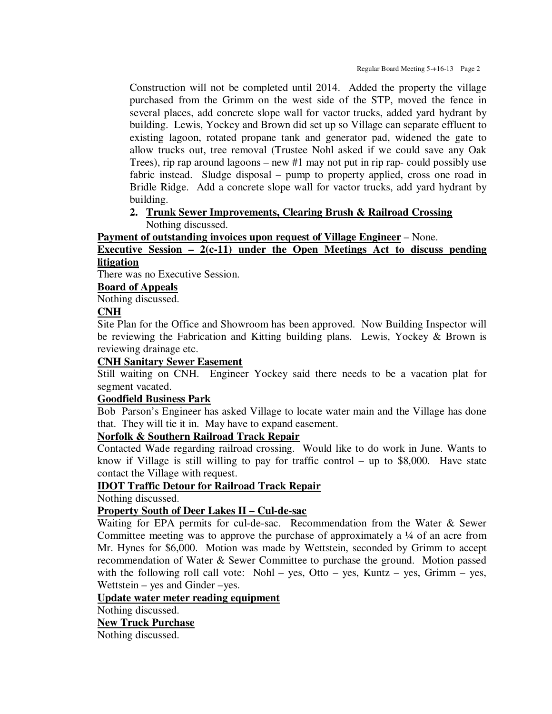Construction will not be completed until 2014. Added the property the village purchased from the Grimm on the west side of the STP, moved the fence in several places, add concrete slope wall for vactor trucks, added yard hydrant by building. Lewis, Yockey and Brown did set up so Village can separate effluent to existing lagoon, rotated propane tank and generator pad, widened the gate to allow trucks out, tree removal (Trustee Nohl asked if we could save any Oak Trees), rip rap around lagoons – new #1 may not put in rip rap- could possibly use fabric instead. Sludge disposal – pump to property applied, cross one road in Bridle Ridge. Add a concrete slope wall for vactor trucks, add yard hydrant by building.

## **2. Trunk Sewer Improvements, Clearing Brush & Railroad Crossing**  Nothing discussed.

**Payment of outstanding invoices upon request of Village Engineer** – None.

# **Executive Session – 2(c-11) under the Open Meetings Act to discuss pending litigation**

There was no Executive Session.

## **Board of Appeals**

Nothing discussed.

## **CNH**

Site Plan for the Office and Showroom has been approved. Now Building Inspector will be reviewing the Fabrication and Kitting building plans. Lewis, Yockey & Brown is reviewing drainage etc.

## **CNH Sanitary Sewer Easement**

Still waiting on CNH. Engineer Yockey said there needs to be a vacation plat for segment vacated.

## **Goodfield Business Park**

Bob Parson's Engineer has asked Village to locate water main and the Village has done that. They will tie it in. May have to expand easement.

## **Norfolk & Southern Railroad Track Repair**

Contacted Wade regarding railroad crossing. Would like to do work in June. Wants to know if Village is still willing to pay for traffic control – up to \$8,000. Have state contact the Village with request.

## **IDOT Traffic Detour for Railroad Track Repair**

Nothing discussed.

## **Property South of Deer Lakes II – Cul-de-sac**

Waiting for EPA permits for cul-de-sac. Recommendation from the Water & Sewer Committee meeting was to approve the purchase of approximately a ¼ of an acre from Mr. Hynes for \$6,000. Motion was made by Wettstein, seconded by Grimm to accept recommendation of Water & Sewer Committee to purchase the ground. Motion passed with the following roll call vote: Nohl – yes, Otto – yes, Kuntz – yes, Grimm – yes, Wettstein – yes and Ginder –yes.

## **Update water meter reading equipment**

Nothing discussed.

**New Truck Purchase** 

Nothing discussed.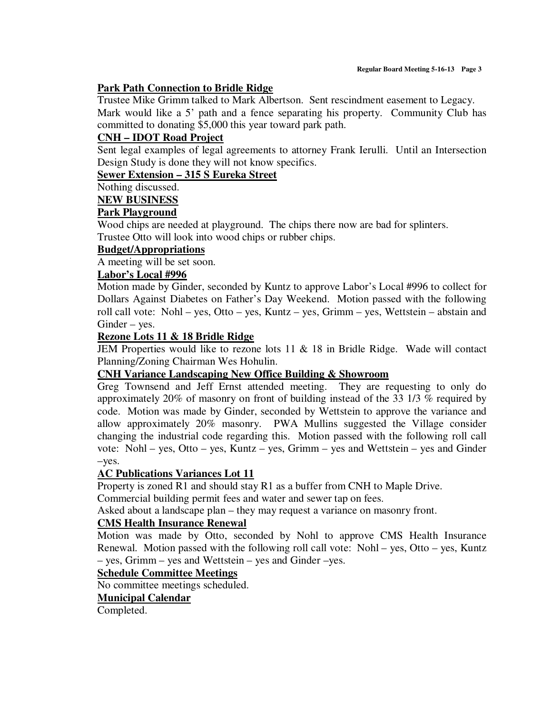#### **Park Path Connection to Bridle Ridge**

Trustee Mike Grimm talked to Mark Albertson. Sent rescindment easement to Legacy. Mark would like a 5' path and a fence separating his property. Community Club has committed to donating \$5,000 this year toward park path.

## **CNH – IDOT Road Project**

Sent legal examples of legal agreements to attorney Frank Ierulli. Until an Intersection Design Study is done they will not know specifics.

## **Sewer Extension – 315 S Eureka Street**

Nothing discussed.

#### **NEW BUSINESS**

#### **Park Playground**

Wood chips are needed at playground. The chips there now are bad for splinters. Trustee Otto will look into wood chips or rubber chips.

#### **Budget/Appropriations**

A meeting will be set soon.

#### **Labor's Local #996**

Motion made by Ginder, seconded by Kuntz to approve Labor's Local #996 to collect for Dollars Against Diabetes on Father's Day Weekend. Motion passed with the following roll call vote: Nohl – yes, Otto – yes, Kuntz – yes, Grimm – yes, Wettstein – abstain and Ginder – yes.

#### **Rezone Lots 11 & 18 Bridle Ridge**

JEM Properties would like to rezone lots 11 & 18 in Bridle Ridge. Wade will contact Planning/Zoning Chairman Wes Hohulin.

## **CNH Variance Landscaping New Office Building & Showroom**

Greg Townsend and Jeff Ernst attended meeting. They are requesting to only do approximately 20% of masonry on front of building instead of the 33 1/3 % required by code. Motion was made by Ginder, seconded by Wettstein to approve the variance and allow approximately 20% masonry. PWA Mullins suggested the Village consider changing the industrial code regarding this. Motion passed with the following roll call vote: Nohl – yes, Otto – yes, Kuntz – yes, Grimm – yes and Wettstein – yes and Ginder –yes.

## **AC Publications Variances Lot 11**

Property is zoned R1 and should stay R1 as a buffer from CNH to Maple Drive.

Commercial building permit fees and water and sewer tap on fees.

Asked about a landscape plan – they may request a variance on masonry front.

## **CMS Health Insurance Renewal**

Motion was made by Otto, seconded by Nohl to approve CMS Health Insurance Renewal. Motion passed with the following roll call vote: Nohl – yes, Otto – yes, Kuntz – yes, Grimm – yes and Wettstein – yes and Ginder –yes.

## **Schedule Committee Meetings**

No committee meetings scheduled.

## **Municipal Calendar**

Completed.